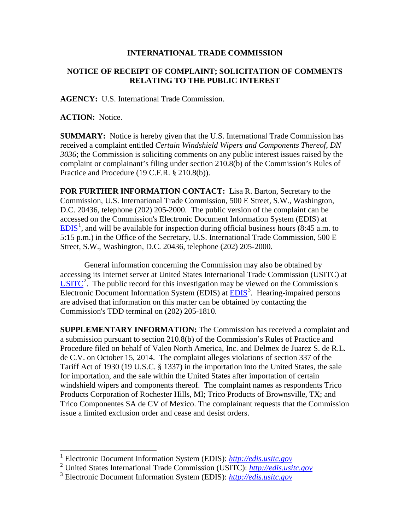## **INTERNATIONAL TRADE COMMISSION**

## **NOTICE OF RECEIPT OF COMPLAINT; SOLICITATION OF COMMENTS RELATING TO THE PUBLIC INTEREST**

**AGENCY:** U.S. International Trade Commission.

**ACTION:** Notice.

 $\overline{a}$ 

**SUMMARY:** Notice is hereby given that the U.S. International Trade Commission has received a complaint entitled *Certain Windshield Wipers and Components Thereof, DN 3036*; the Commission is soliciting comments on any public interest issues raised by the complaint or complainant's filing under section 210.8(b) of the Commission's Rules of Practice and Procedure (19 C.F.R. § 210.8(b)).

**FOR FURTHER INFORMATION CONTACT:** Lisa R. Barton, Secretary to the Commission, U.S. International Trade Commission, 500 E Street, S.W., Washington, D.C. 20436, telephone (202) 205-2000. The public version of the complaint can be accessed on the Commission's Electronic Document Information System (EDIS) at  $EDIS<sup>1</sup>$  $EDIS<sup>1</sup>$  $EDIS<sup>1</sup>$  $EDIS<sup>1</sup>$ , and will be available for inspection during official business hours (8:45 a.m. to 5:15 p.m.) in the Office of the Secretary, U.S. International Trade Commission, 500 E Street, S.W., Washington, D.C. 20436, telephone (202) 205-2000.

General information concerning the Commission may also be obtained by accessing its Internet server at United States International Trade Commission (USITC) at  $\overline{USTTC}^2$  $\overline{USTTC}^2$ . The public record for this investigation may be viewed on the Commission's Electronic Document Information System (EDIS) at **EDIS**<sup>[3](#page-0-2)</sup>. Hearing-impaired persons are advised that information on this matter can be obtained by contacting the Commission's TDD terminal on (202) 205-1810.

**SUPPLEMENTARY INFORMATION:** The Commission has received a complaint and a submission pursuant to section 210.8(b) of the Commission's Rules of Practice and Procedure filed on behalf of Valeo North America, Inc. and Delmex de Juarez S. de R.L. de C.V. on October 15, 2014. The complaint alleges violations of section 337 of the Tariff Act of 1930 (19 U.S.C. § 1337) in the importation into the United States, the sale for importation, and the sale within the United States after importation of certain windshield wipers and components thereof. The complaint names as respondents Trico Products Corporation of Rochester Hills, MI; Trico Products of Brownsville, TX; and Trico Componentes SA de CV of Mexico. The complainant requests that the Commission issue a limited exclusion order and cease and desist orders.

<sup>1</sup> Electronic Document Information System (EDIS): *[http://edis.usitc.gov](http://edis.usitc.gov/)*

<span id="page-0-1"></span><span id="page-0-0"></span><sup>2</sup> United States International Trade Commission (USITC): *[http://edis.usitc.gov](http://edis.usitc.gov/)*

<span id="page-0-2"></span><sup>3</sup> Electronic Document Information System (EDIS): *[http://edis.usitc.gov](http://edis.usitc.gov/)*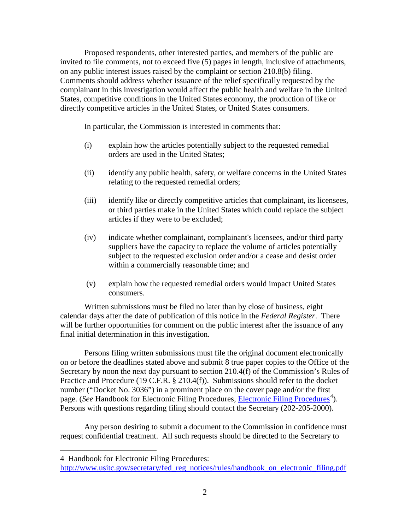Proposed respondents, other interested parties, and members of the public are invited to file comments, not to exceed five (5) pages in length, inclusive of attachments, on any public interest issues raised by the complaint or section 210.8(b) filing. Comments should address whether issuance of the relief specifically requested by the complainant in this investigation would affect the public health and welfare in the United States, competitive conditions in the United States economy, the production of like or directly competitive articles in the United States, or United States consumers.

In particular, the Commission is interested in comments that:

- (i) explain how the articles potentially subject to the requested remedial orders are used in the United States;
- (ii) identify any public health, safety, or welfare concerns in the United States relating to the requested remedial orders;
- (iii) identify like or directly competitive articles that complainant, its licensees, or third parties make in the United States which could replace the subject articles if they were to be excluded;
- (iv) indicate whether complainant, complainant's licensees, and/or third party suppliers have the capacity to replace the volume of articles potentially subject to the requested exclusion order and/or a cease and desist order within a commercially reasonable time; and
- (v) explain how the requested remedial orders would impact United States consumers.

Written submissions must be filed no later than by close of business, eight calendar days after the date of publication of this notice in the *Federal Register*. There will be further opportunities for comment on the public interest after the issuance of any final initial determination in this investigation.

Persons filing written submissions must file the original document electronically on or before the deadlines stated above and submit 8 true paper copies to the Office of the Secretary by noon the next day pursuant to section 210.4(f) of the Commission's Rules of Practice and Procedure (19 C.F.R. § 210.4(f)). Submissions should refer to the docket number ("Docket No. 3036") in a prominent place on the cover page and/or the first page. (*See* Handbook for [Electronic Filing Procedures](http://www.usitc.gov/secretary/fed_reg_notices/rules/handbook_on_electronic_filing.pdf), *Electronic Filing Procedures*<sup>[4](#page-1-0)</sup>). Persons with questions regarding filing should contact the Secretary (202-205-2000).

Any person desiring to submit a document to the Commission in confidence must request confidential treatment. All such requests should be directed to the Secretary to

 $\overline{a}$ 

<span id="page-1-0"></span><sup>4</sup> Handbook for Electronic Filing Procedures:

http://www.usitc.gov/secretary/fed\_reg\_notices/rules/handbook\_on\_electronic\_filing.pdf